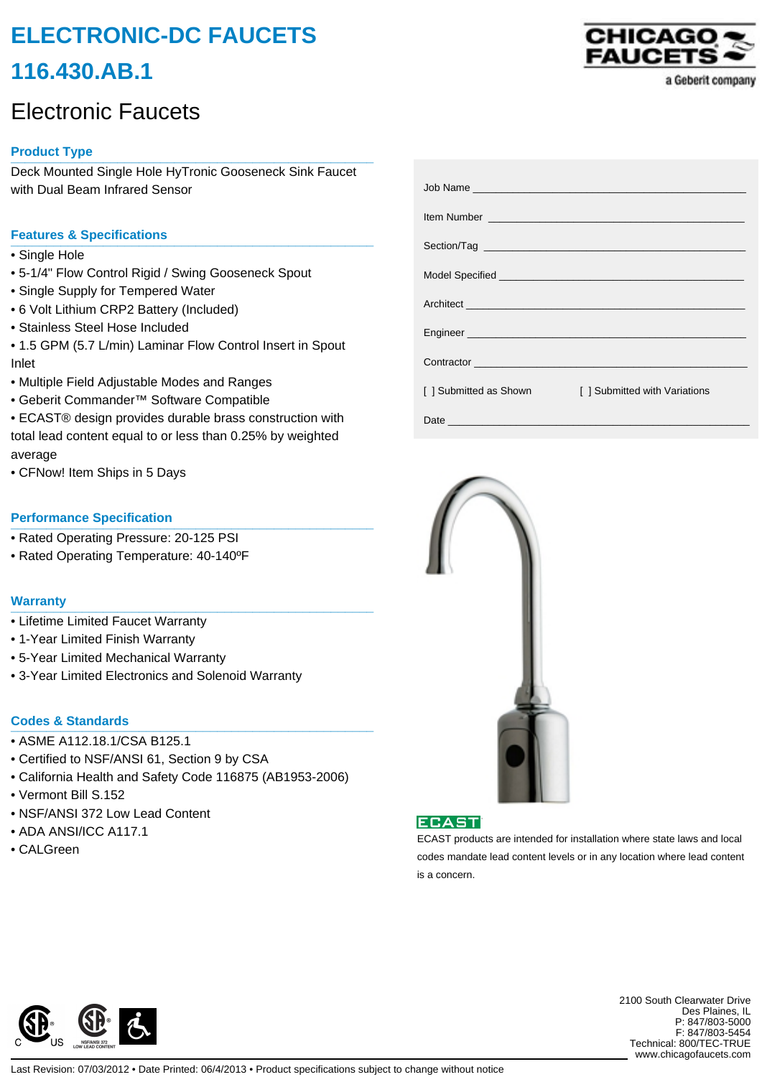# **ELECTRONIC-DC FAUCETS 116.430.AB.1**

# Electronic Faucets

# **Product Type \_\_\_\_\_\_\_\_\_\_\_\_\_\_\_\_\_\_\_\_\_\_\_\_\_\_\_\_\_\_\_\_\_\_\_\_\_\_\_\_\_\_\_\_\_\_\_\_\_\_\_**

Deck Mounted Single Hole HyTronic Gooseneck Sink Faucet with Dual Beam Infrared Sensor

## **Features & Specifications \_\_\_\_\_\_\_\_\_\_\_\_\_\_\_\_\_\_\_\_\_\_\_\_\_\_\_\_\_\_\_\_\_\_\_\_\_\_\_\_\_\_\_\_\_\_\_\_\_\_\_**

- Single Hole
- 5-1/4" Flow Control Rigid / Swing Gooseneck Spout
- Single Supply for Tempered Water
- 6 Volt Lithium CRP2 Battery (Included)
- Stainless Steel Hose Included
- 1.5 GPM (5.7 L/min) Laminar Flow Control Insert in Spout Inlet
- Multiple Field Adjustable Modes and Ranges
- Geberit Commander™ Software Compatible
- ECAST® design provides durable brass construction with total lead content equal to or less than 0.25% by weighted average
- CFNow! Item Ships in 5 Days

### **Performance Specification**

- Rated Operating Pressure: 20-125 PSI
- Rated Operating Temperature: 40-140ºF

#### **Warranty \_\_\_\_\_\_\_\_\_\_\_\_\_\_\_\_\_\_\_\_\_\_\_\_\_\_\_\_\_\_\_\_\_\_\_\_\_\_\_\_\_\_\_\_\_\_\_\_\_\_\_**

- Lifetime Limited Faucet Warranty
- 1-Year Limited Finish Warranty
- 5-Year Limited Mechanical Warranty
- 3-Year Limited Electronics and Solenoid Warranty

# **Codes & Standards \_\_\_\_\_\_\_\_\_\_\_\_\_\_\_\_\_\_\_\_\_\_\_\_\_\_\_\_\_\_\_\_\_\_\_\_\_\_\_\_\_\_\_\_\_\_\_\_\_\_\_**

- ASME A112.18.1/CSA B125.1
- Certified to NSF/ANSI 61, Section 9 by CSA
- California Health and Safety Code 116875 (AB1953-2006)
- Vermont Bill S.152
- NSF/ANSI 372 Low Lead Content
- ADA ANSI/ICC A117.1
- CALGreen



|                        | Item Number <u>Number</u> 2008 and 2009 and 2009 and 2009 and 2009 and 2009 and 2009 and 2009 and 2009 and 2009 and 2009 and 2009 and 2009 and 2009 and 2009 and 2009 and 2009 and 2009 and 2009 and 2009 and 2009 and 2009 and 200 |
|------------------------|-------------------------------------------------------------------------------------------------------------------------------------------------------------------------------------------------------------------------------------|
|                        |                                                                                                                                                                                                                                     |
|                        |                                                                                                                                                                                                                                     |
|                        |                                                                                                                                                                                                                                     |
|                        |                                                                                                                                                                                                                                     |
|                        | Contractor <b>Contractor Contractor</b>                                                                                                                                                                                             |
| [ ] Submitted as Shown | [ ] Submitted with Variations                                                                                                                                                                                                       |
|                        |                                                                                                                                                                                                                                     |





ECAST products are intended for installation where state laws and local codes mandate lead content levels or in any location where lead content is a concern.



2100 South Clearwater Drive Des Plaines, IL P: 847/803-5000 F: 847/803-5454 Technical: 800/TEC-TRUE www.chicagofaucets.com